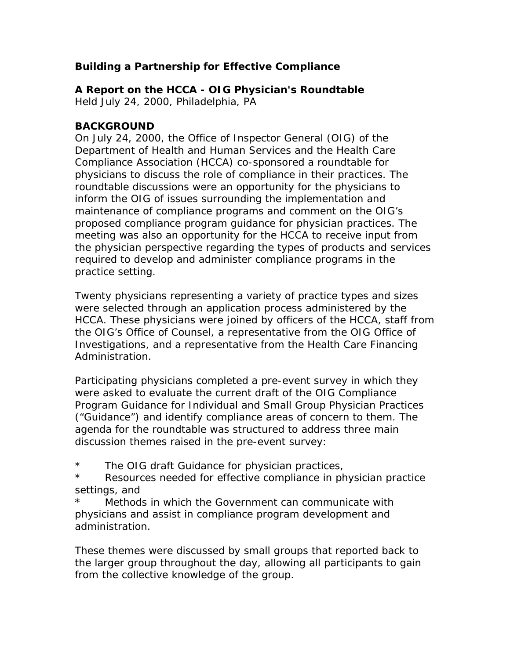# **Building a Partnership for Effective Compliance**

*A Report on the HCCA - OIG Physician's Roundtable* 

*Held July 24, 2000, Philadelphia, PA* 

## **BACKGROUND**

On July 24, 2000, the Office of Inspector General (OIG) of the Department of Health and Human Services and the Health Care Compliance Association (HCCA) co-sponsored a roundtable for physicians to discuss the role of compliance in their practices. The roundtable discussions were an opportunity for the physicians to inform the OIG of issues surrounding the implementation and maintenance of compliance programs and comment on the OIG's proposed compliance program guidance for physician practices. The meeting was also an opportunity for the HCCA to receive input from the physician perspective regarding the types of products and services required to develop and administer compliance programs in the practice setting.

Twenty physicians representing a variety of practice types and sizes were selected through an application process administered by the HCCA. These physicians were joined by officers of the HCCA, staff from the OIG's Office of Counsel, a representative from the OIG Office of Investigations, and a representative from the Health Care Financing Administration.

Participating physicians completed a pre-event survey in which they were asked to evaluate the current draft of the OIG Compliance Program Guidance for Individual and Small Group Physician Practices ("Guidance") and identify compliance areas of concern to them. The agenda for the roundtable was structured to address three main discussion themes raised in the pre-event survey:

- \* The OIG draft Guidance for physician practices,
- \* Resources needed for effective compliance in physician practice settings, and
- Methods in which the Government can communicate with physicians and assist in compliance program development and administration.

These themes were discussed by small groups that reported back to the larger group throughout the day, allowing all participants to gain from the collective knowledge of the group.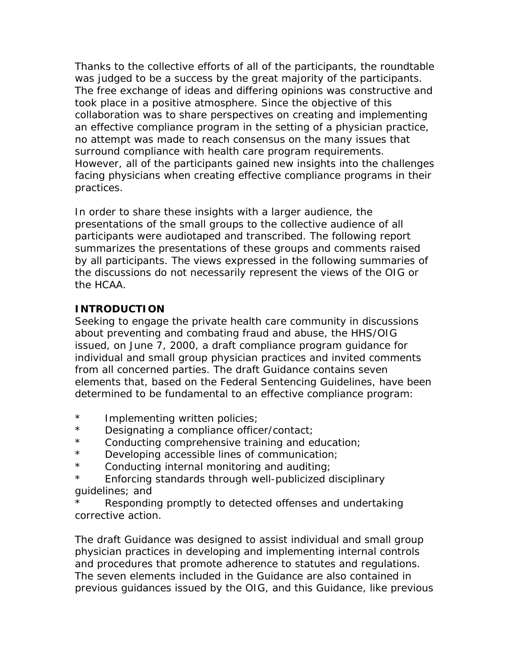Thanks to the collective efforts of all of the participants, the roundtable was judged to be a success by the great majority of the participants. The free exchange of ideas and differing opinions was constructive and took place in a positive atmosphere. Since the objective of this collaboration was to share perspectives on creating and implementing an effective compliance program in the setting of a physician practice, no attempt was made to reach consensus on the many issues that surround compliance with health care program requirements. However, all of the participants gained new insights into the challenges facing physicians when creating effective compliance programs in their practices.

In order to share these insights with a larger audience, the presentations of the small groups to the collective audience of all participants were audiotaped and transcribed. The following report summarizes the presentations of these groups and comments raised by all participants. The views expressed in the following summaries of the discussions do not necessarily represent the views of the OIG or the HCAA.

## **INTRODUCTION**

Seeking to engage the private health care community in discussions about preventing and combating fraud and abuse, the HHS/OIG issued, on June 7, 2000, a draft compliance program guidance for individual and small group physician practices and invited comments from all concerned parties. The draft Guidance contains seven elements that, based on the Federal Sentencing Guidelines, have been determined to be fundamental to an effective compliance program:

- \* Implementing written policies;
- \* Designating a compliance officer/contact;
- \* Conducting comprehensive training and education;
- \* Developing accessible lines of communication;
- \* Conducting internal monitoring and auditing;
- \* Enforcing standards through well-publicized disciplinary guidelines; and
- Responding promptly to detected offenses and undertaking corrective action.

The draft Guidance was designed to assist individual and small group physician practices in developing and implementing internal controls and procedures that promote adherence to statutes and regulations. The seven elements included in the Guidance are also contained in previous guidances issued by the OIG, and this Guidance, like previous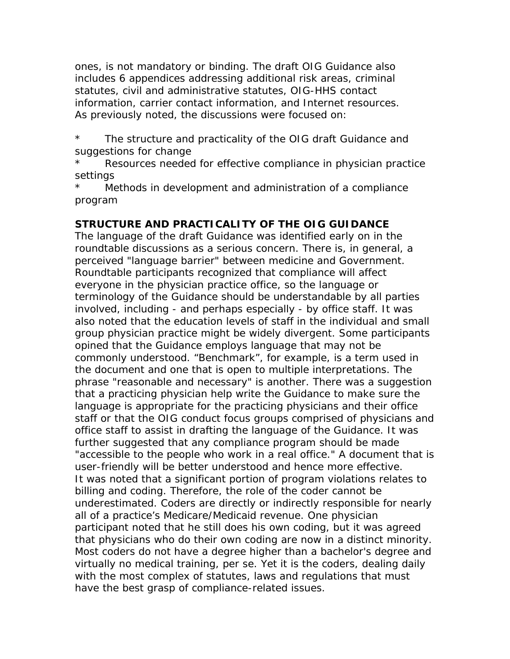ones, is not mandatory or binding. The draft OIG Guidance also includes 6 appendices addressing additional risk areas, criminal statutes, civil and administrative statutes, OIG-HHS contact information, carrier contact information, and Internet resources. As previously noted, the discussions were focused on:

\* The structure and practicality of the OIG draft Guidance and suggestions for change

Resources needed for effective compliance in physician practice settings

Methods in development and administration of a compliance program

# **STRUCTURE AND PRACTICALITY OF THE OIG GUIDANCE**

The language of the draft Guidance was identified early on in the roundtable discussions as a serious concern. There is, in general, a perceived "language barrier" between medicine and Government. Roundtable participants recognized that compliance will affect everyone in the physician practice office, so the language or terminology of the Guidance should be understandable by all parties involved, including - and perhaps especially - by office staff. It was also noted that the education levels of staff in the individual and small group physician practice might be widely divergent. Some participants opined that the Guidance employs language that may not be commonly understood. "Benchmark", for example, is a term used in the document and one that is open to multiple interpretations. The phrase "reasonable and necessary" is another. There was a suggestion that a practicing physician help write the Guidance to make sure the language is appropriate for the practicing physicians and their office staff or that the OIG conduct focus groups comprised of physicians and office staff to assist in drafting the language of the Guidance. It was further suggested that any compliance program should be made "accessible to the people who work in a real office." A document that is user-friendly will be better understood and hence more effective. It was noted that a significant portion of program violations relates to billing and coding. Therefore, the role of the coder cannot be underestimated. Coders are directly or indirectly responsible for nearly all of a practice's Medicare/Medicaid revenue. One physician participant noted that he still does his own coding, but it was agreed that physicians who do their own coding are now in a distinct minority. Most coders do not have a degree higher than a bachelor's degree and virtually no medical training, per se. Yet it is the coders, dealing daily with the most complex of statutes, laws and regulations that must have the best grasp of compliance-related issues.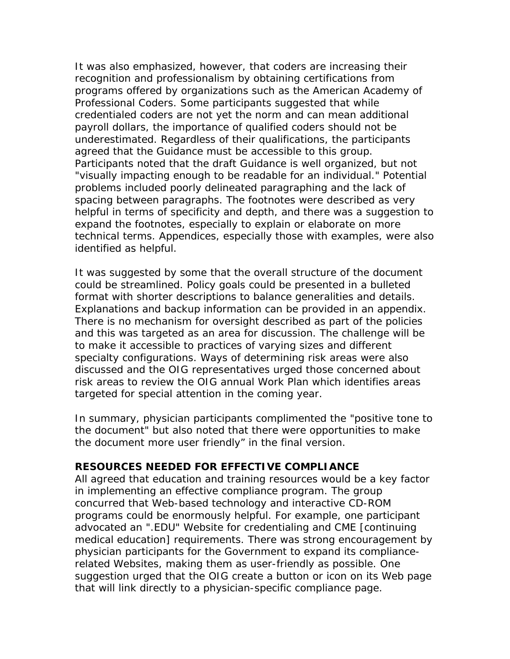It was also emphasized, however, that coders are increasing their recognition and professionalism by obtaining certifications from programs offered by organizations such as the American Academy of Professional Coders. Some participants suggested that while credentialed coders are not yet the norm and can mean additional payroll dollars, the importance of qualified coders should not be underestimated. Regardless of their qualifications, the participants agreed that the Guidance must be accessible to this group. Participants noted that the draft Guidance is well organized, but not "visually impacting enough to be readable for an individual." Potential problems included poorly delineated paragraphing and the lack of spacing between paragraphs. The footnotes were described as very helpful in terms of specificity and depth, and there was a suggestion to expand the footnotes, especially to explain or elaborate on more technical terms. Appendices, especially those with examples, were also identified as helpful.

It was suggested by some that the overall structure of the document could be streamlined. Policy goals could be presented in a bulleted format with shorter descriptions to balance generalities and details. Explanations and backup information can be provided in an appendix. There is no mechanism for oversight described as part of the policies and this was targeted as an area for discussion. The challenge will be to make it accessible to practices of varying sizes and different specialty configurations. Ways of determining risk areas were also discussed and the OIG representatives urged those concerned about risk areas to review the OIG annual *Work Plan* which identifies areas targeted for special attention in the coming year.

In summary, physician participants complimented the "positive tone to the document" but also noted that there were opportunities to make the document more user friendly" in the final version.

#### **RESOURCES NEEDED FOR EFFECTIVE COMPLIANCE**

All agreed that education and training resources would be a key factor in implementing an effective compliance program. The group concurred that Web-based technology and interactive CD-ROM programs could be enormously helpful. For example, one participant advocated an ".EDU" Website for credentialing and CME [continuing medical education] requirements. There was strong encouragement by physician participants for the Government to expand its compliancerelated Websites, making them as user-friendly as possible. One suggestion urged that the OIG create a button or icon on its Web page that will link directly to a physician-specific compliance page.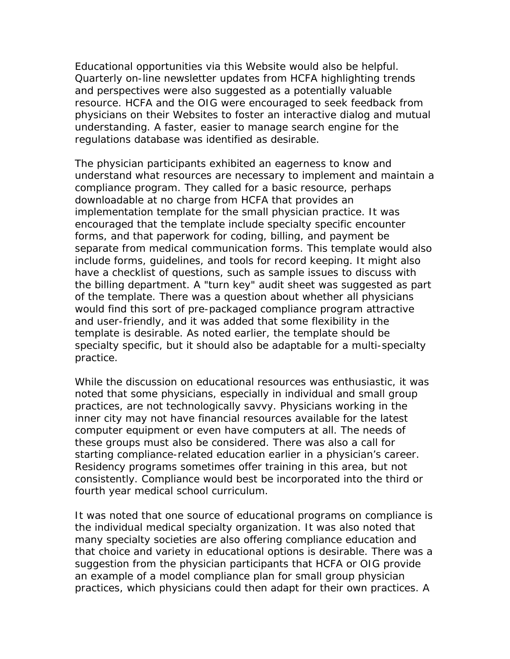Educational opportunities via this Website would also be helpful. Quarterly on-line newsletter updates from HCFA highlighting trends and perspectives were also suggested as a potentially valuable resource. HCFA and the OIG were encouraged to seek feedback from physicians on their Websites to foster an interactive dialog and mutual understanding. A faster, easier to manage search engine for the regulations database was identified as desirable.

The physician participants exhibited an eagerness to know and understand what resources are necessary to implement and maintain a compliance program. They called for a basic resource, perhaps downloadable at no charge from HCFA that provides an implementation template for the small physician practice. It was encouraged that the template include specialty specific encounter forms, and that paperwork for coding, billing, and payment be separate from medical communication forms. This template would also include forms, guidelines, and tools for record keeping. It might also have a checklist of questions, such as sample issues to discuss with the billing department. A "turn key" audit sheet was suggested as part of the template. There was a question about whether all physicians would find this sort of pre-packaged compliance program attractive and user-friendly, and it was added that some flexibility in the template is desirable. As noted earlier, the template should be specialty specific, but it should also be adaptable for a multi-specialty practice.

While the discussion on educational resources was enthusiastic, it was noted that some physicians, especially in individual and small group practices, are not technologically savvy. Physicians working in the inner city may not have financial resources available for the latest computer equipment or even have computers at all. The needs of these groups must also be considered. There was also a call for starting compliance-related education earlier in a physician's career. Residency programs sometimes offer training in this area, but not consistently. Compliance would best be incorporated into the third or fourth year medical school curriculum.

It was noted that one source of educational programs on compliance is the individual medical specialty organization. It was also noted that many specialty societies are also offering compliance education and that choice and variety in educational options is desirable. There was a suggestion from the physician participants that HCFA or OIG provide an example of a model compliance plan for small group physician practices, which physicians could then adapt for their own practices. A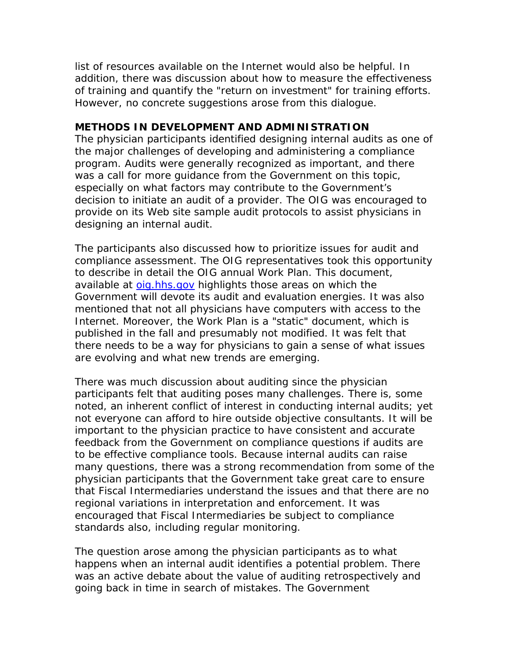list of resources available on the Internet would also be helpful. In addition, there was discussion about how to measure the effectiveness of training and quantify the "return on investment" for training efforts. However, no concrete suggestions arose from this dialogue.

#### **METHODS IN DEVELOPMENT AND ADMINISTRATION**

The physician participants identified designing internal audits as one of the major challenges of developing and administering a compliance program. Audits were generally recognized as important, and there was a call for more guidance from the Government on this topic, especially on what factors may contribute to the Government's decision to initiate an audit of a provider. The OIG was encouraged to provide on its Web site sample audit protocols to assist physicians in designing an internal audit.

The participants also discussed how to prioritize issues for audit and compliance assessment. The OIG representatives took this opportunity to describe in detail the OIG annual *Work Plan.* This document, available at [oig.hhs.gov](http://oig.hhs.gov/) highlights those areas on which the Government will devote its audit and evaluation energies. It was also mentioned that not all physicians have computers with access to the Internet. Moreover, the *Work Plan* is a "static" document, which is published in the fall and presumably not modified. It was felt that there needs to be a way for physicians to gain a sense of what issues are evolving and what new trends are emerging.

There was much discussion about auditing since the physician participants felt that auditing poses many challenges. There is, some noted, an inherent conflict of interest in conducting internal audits; yet not everyone can afford to hire outside objective consultants. It will be important to the physician practice to have consistent and accurate feedback from the Government on compliance questions if audits are to be effective compliance tools. Because internal audits can raise many questions, there was a strong recommendation from some of the physician participants that the Government take great care to ensure that Fiscal Intermediaries understand the issues and that there are no regional variations in interpretation and enforcement. It was encouraged that Fiscal Intermediaries be subject to compliance standards also, including regular monitoring.

The question arose among the physician participants as to what happens when an internal audit identifies a potential problem. There was an active debate about the value of auditing retrospectively and going back in time in search of mistakes. The Government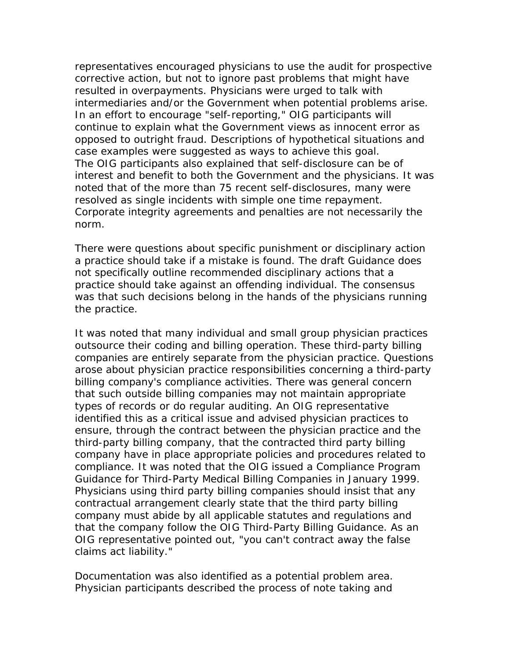representatives encouraged physicians to use the audit for prospective corrective action, but not to ignore past problems that might have resulted in overpayments. Physicians were urged to talk with intermediaries and/or the Government when potential problems arise. In an effort to encourage "self-reporting," OIG participants will continue to explain what the Government views as innocent error as opposed to outright fraud. Descriptions of hypothetical situations and case examples were suggested as ways to achieve this goal. The OIG participants also explained that self-disclosure can be of interest and benefit to both the Government and the physicians. It was noted that of the more than 75 recent self-disclosures, many were resolved as single incidents with simple one time repayment. Corporate integrity agreements and penalties are not necessarily the norm.

There were questions about specific punishment or disciplinary action a practice should take if a mistake is found. The draft Guidance does not specifically outline recommended disciplinary actions that a practice should take against an offending individual. The consensus was that such decisions belong in the hands of the physicians running the practice.

It was noted that many individual and small group physician practices outsource their coding and billing operation. These third-party billing companies are entirely separate from the physician practice. Questions arose about physician practice responsibilities concerning a third-party billing company's compliance activities. There was general concern that such outside billing companies may not maintain appropriate types of records or do regular auditing. An OIG representative identified this as a critical issue and advised physician practices to ensure, through the contract between the physician practice and the third-party billing company, that the contracted third party billing company have in place appropriate policies and procedures related to compliance. It was noted that the OIG issued a Compliance Program Guidance for Third-Party Medical Billing Companies in January 1999. Physicians using third party billing companies should insist that any contractual arrangement clearly state that the third party billing company must abide by all applicable statutes and regulations and that the company follow the OIG Third-Party Billing Guidance. As an OIG representative pointed out, "you can't contract away the false claims act liability."

Documentation was also identified as a potential problem area. Physician participants described the process of note taking and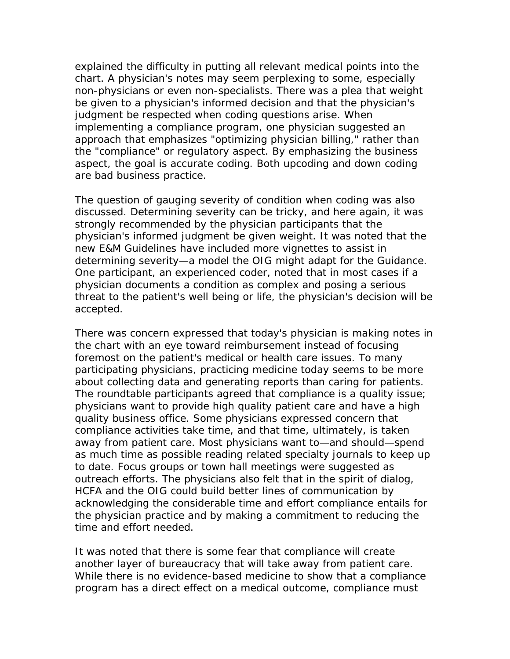explained the difficulty in putting all relevant medical points into the chart. A physician's notes may seem perplexing to some, especially non-physicians or even non-specialists. There was a plea that weight be given to a physician's informed decision and that the physician's judgment be respected when coding questions arise. When implementing a compliance program, one physician suggested an approach that emphasizes "optimizing physician billing," rather than the "compliance" or regulatory aspect. By emphasizing the business aspect, the goal is accurate coding. Both upcoding and down coding are bad business practice.

The question of gauging severity of condition when coding was also discussed. Determining severity can be tricky, and here again, it was strongly recommended by the physician participants that the physician's informed judgment be given weight. It was noted that the new E&M Guidelines have included more vignettes to assist in determining severity—a model the OIG might adapt for the Guidance. One participant, an experienced coder, noted that in most cases if a physician documents a condition as complex and posing a serious threat to the patient's well being or life, the physician's decision will be accepted.

There was concern expressed that today's physician is making notes in the chart with an eye toward reimbursement instead of focusing foremost on the patient's medical or health care issues. To many participating physicians, practicing medicine today seems to be more about collecting data and generating reports than caring for patients. The roundtable participants agreed that compliance is a quality issue; physicians want to provide high quality patient care and have a high quality business office. Some physicians expressed concern that compliance activities take time, and that time, ultimately, is taken away from patient care. Most physicians want to—and should—spend as much time as possible reading related specialty journals to keep up to date. Focus groups or town hall meetings were suggested as outreach efforts. The physicians also felt that in the spirit of dialog, HCFA and the OIG could build better lines of communication by acknowledging the considerable time and effort compliance entails for the physician practice and by making a commitment to reducing the time and effort needed.

It was noted that there is some fear that compliance will create another layer of bureaucracy that will take away from patient care. While there is no evidence-based medicine to show that a compliance program has a direct effect on a medical outcome, compliance must